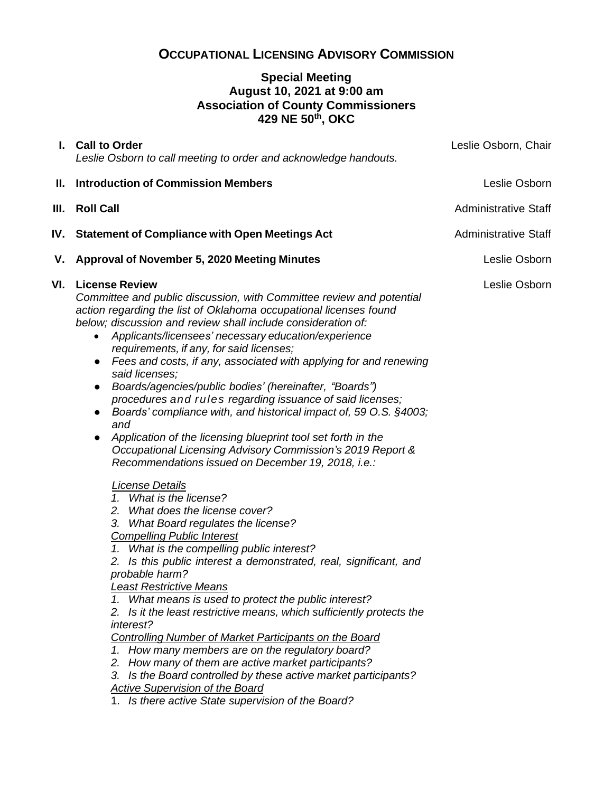# **OCCUPATIONAL LICENSING ADVISORY COMMISSION**

## **Special Meeting August 10, 2021 at 9:00 am Association of County Commissioners 429 NE 50th, OKC**

| Leslie Osborn to call meeting to order and acknowledge handouts.                                                                                                                                                                                                                                                                                                                                                                                                                                                                                                                                                                                                                                                                                                                                                                                                                                                                                                                                                                                                                                                                                                                                                                                                                                                                                                                                                                                                                                                                                                                                                                                                                   | Leslie Osborn, Chair                          |
|------------------------------------------------------------------------------------------------------------------------------------------------------------------------------------------------------------------------------------------------------------------------------------------------------------------------------------------------------------------------------------------------------------------------------------------------------------------------------------------------------------------------------------------------------------------------------------------------------------------------------------------------------------------------------------------------------------------------------------------------------------------------------------------------------------------------------------------------------------------------------------------------------------------------------------------------------------------------------------------------------------------------------------------------------------------------------------------------------------------------------------------------------------------------------------------------------------------------------------------------------------------------------------------------------------------------------------------------------------------------------------------------------------------------------------------------------------------------------------------------------------------------------------------------------------------------------------------------------------------------------------------------------------------------------------|-----------------------------------------------|
| <b>Introduction of Commission Members</b>                                                                                                                                                                                                                                                                                                                                                                                                                                                                                                                                                                                                                                                                                                                                                                                                                                                                                                                                                                                                                                                                                                                                                                                                                                                                                                                                                                                                                                                                                                                                                                                                                                          | Leslie Osborn                                 |
| <b>Roll Call</b>                                                                                                                                                                                                                                                                                                                                                                                                                                                                                                                                                                                                                                                                                                                                                                                                                                                                                                                                                                                                                                                                                                                                                                                                                                                                                                                                                                                                                                                                                                                                                                                                                                                                   | <b>Administrative Staff</b>                   |
| <b>Statement of Compliance with Open Meetings Act</b>                                                                                                                                                                                                                                                                                                                                                                                                                                                                                                                                                                                                                                                                                                                                                                                                                                                                                                                                                                                                                                                                                                                                                                                                                                                                                                                                                                                                                                                                                                                                                                                                                              | <b>Administrative Staff</b>                   |
| Approval of November 5, 2020 Meeting Minutes                                                                                                                                                                                                                                                                                                                                                                                                                                                                                                                                                                                                                                                                                                                                                                                                                                                                                                                                                                                                                                                                                                                                                                                                                                                                                                                                                                                                                                                                                                                                                                                                                                       | Leslie Osborn                                 |
| Committee and public discussion, with Committee review and potential<br>action regarding the list of Oklahoma occupational licenses found<br>below; discussion and review shall include consideration of:<br>Applicants/licensees' necessary education/experience<br>$\bullet$<br>requirements, if any, for said licenses;<br>Fees and costs, if any, associated with applying for and renewing<br>$\bullet$<br>said licenses;<br>Boards/agencies/public bodies' (hereinafter, "Boards")<br>$\bullet$<br>procedures and rules regarding issuance of said licenses;<br>Boards' compliance with, and historical impact of, 59 O.S. §4003;<br>and<br>Application of the licensing blueprint tool set forth in the<br>$\bullet$<br>Occupational Licensing Advisory Commission's 2019 Report &<br>Recommendations issued on December 19, 2018, i.e.:<br><b>License Details</b><br>1. What is the license?<br>2. What does the license cover?<br>3. What Board regulates the license?<br><b>Compelling Public Interest</b><br>1. What is the compelling public interest?<br>2. Is this public interest a demonstrated, real, significant, and<br>probable harm?<br><b>Least Restrictive Means</b><br>1. What means is used to protect the public interest?<br>2. Is it the least restrictive means, which sufficiently protects the<br>interest?<br><b>Controlling Number of Market Participants on the Board</b><br>1. How many members are on the regulatory board?<br>2. How many of them are active market participants?<br>3. Is the Board controlled by these active market participants?<br>Active Supervision of the Board<br>1. Is there active State supervision of the Board? | Leslie Osborn                                 |
| V.                                                                                                                                                                                                                                                                                                                                                                                                                                                                                                                                                                                                                                                                                                                                                                                                                                                                                                                                                                                                                                                                                                                                                                                                                                                                                                                                                                                                                                                                                                                                                                                                                                                                                 | I. Call to Order<br><b>VI.</b> License Review |